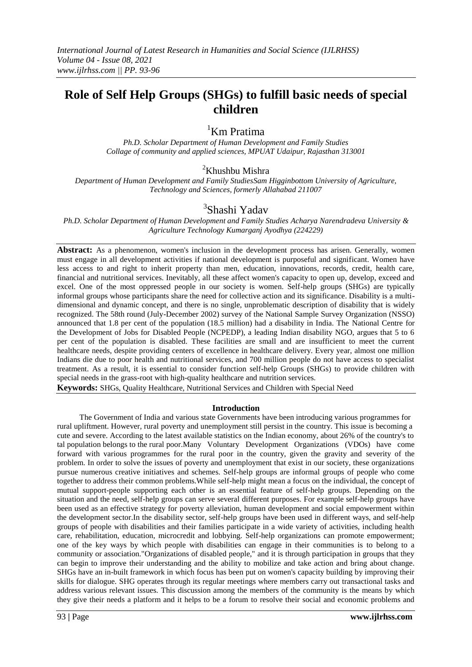# **Role of Self Help Groups (SHGs) to fulfill basic needs of special children**

<sup>1</sup>Km Pratima

*Ph.D. Scholar Department of Human Development and Family Studies Collage of community and applied sciences, MPUAT Udaipur, Rajasthan 313001*

## <sup>2</sup>Khushbu Mishra

*Department of Human Development and Family StudiesSam Higginbottom University of Agriculture, Technology and Sciences, formerly Allahabad 211007*

## <sup>3</sup>Shashi Yadav

*Ph.D. Scholar Department of Human Development and Family Studies Acharya Narendradeva University & Agriculture Technology Kumarganj Ayodhya (224229)*

**Abstract:** As a phenomenon, women's inclusion in the development process has arisen. Generally, women must engage in all development activities if national development is purposeful and significant. Women have less access to and right to inherit property than men, education, innovations, records, credit, health care, financial and nutritional services. Inevitably, all these affect women's capacity to open up, develop, exceed and excel. One of the most oppressed people in our society is women. Self-help groups (SHGs) are typically informal groups whose participants share the need for collective action and its significance. Disability is a multidimensional and dynamic concept, and there is no single, unproblematic description of disability that is widely recognized. The 58th round (July-December 2002) survey of the National Sample Survey Organization (NSSO) announced that 1.8 per cent of the population (18.5 million) had a disability in India. The National Centre for the Development of Jobs for Disabled People (NCPEDP), a leading Indian disability NGO, argues that 5 to 6 per cent of the population is disabled. These facilities are small and are insufficient to meet the current healthcare needs, despite providing centers of excellence in healthcare delivery. Every year, almost one million Indians die due to poor health and nutritional services, and 700 million people do not have access to specialist treatment. As a result, it is essential to consider function self-help Groups (SHGs) to provide children with special needs in the grass-root with high-quality healthcare and nutrition services.

**Keywords:** SHGs, Quality Healthcare, Nutritional Services and Children with Special Need

#### **Introduction**

The Government of India and various state Governments have been introducing various programmes for rural upliftment. However, rural poverty and unemployment still persist in the country. This issue is becoming a cute and severe. According to the latest available statistics on the Indian economy, about 26% of the country's to tal population belongs to the rural poor.Many Voluntary Development Organizations (VDOs) have come forward with various programmes for the rural poor in the country, given the gravity and severity of the problem. In order to solve the issues of poverty and unemployment that exist in our society, these organizations pursue numerous creative initiatives and schemes. Self-help groups are informal groups of people who come together to address their common problems.While self-help might mean a focus on the individual, the concept of mutual support-people supporting each other is an essential feature of self-help groups. Depending on the situation and the need, self-help groups can serve several different purposes. For example self-help groups have been used as an effective strategy for poverty alleviation, human development and social empowerment within the development sector.In the disability sector, self-help groups have been used in different ways, and self-help groups of people with disabilities and their families participate in a wide variety of activities, including health care, rehabilitation, education, microcredit and lobbying. Self-help organizations can promote empowerment; one of the key ways by which people with disabilities can engage in their communities is to belong to a community or association."Organizations of disabled people," and it is through participation in groups that they can begin to improve their understanding and the ability to mobilize and take action and bring about change. SHGs have an in-built framework in which focus has been put on women's capacity building by improving their skills for dialogue. SHG operates through its regular meetings where members carry out transactional tasks and address various relevant issues. This discussion among the members of the community is the means by which they give their needs a platform and it helps to be a forum to resolve their social and economic problems and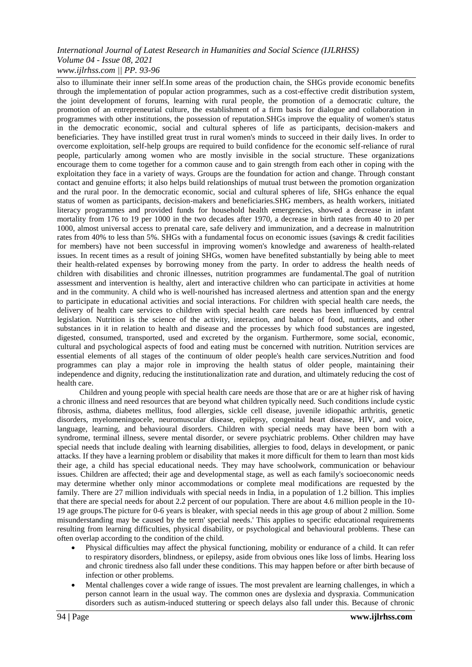#### *International Journal of Latest Research in Humanities and Social Science (IJLRHSS) Volume 04 - Issue 08, 2021 www.ijlrhss.com || PP. 93-96*

also to illuminate their inner self.In some areas of the production chain, the SHGs provide economic benefits through the implementation of popular action programmes, such as a cost-effective credit distribution system, the joint development of forums, learning with rural people, the promotion of a democratic culture, the promotion of an entrepreneurial culture, the establishment of a firm basis for dialogue and collaboration in programmes with other institutions, the possession of reputation.SHGs improve the equality of women's status in the democratic economic, social and cultural spheres of life as participants, decision-makers and beneficiaries. They have instilled great trust in rural women's minds to succeed in their daily lives. In order to overcome exploitation, self-help groups are required to build confidence for the economic self-reliance of rural people, particularly among women who are mostly invisible in the social structure. These organizations encourage them to come together for a common cause and to gain strength from each other in coping with the exploitation they face in a variety of ways. Groups are the foundation for action and change. Through constant contact and genuine efforts; it also helps build relationships of mutual trust between the promotion organization and the rural poor. In the democratic economic, social and cultural spheres of life, SHGs enhance the equal status of women as participants, decision-makers and beneficiaries.SHG members, as health workers, initiated literacy programmes and provided funds for household health emergencies, showed a decrease in infant mortality from 176 to 19 per 1000 in the two decades after 1970, a decrease in birth rates from 40 to 20 per 1000, almost universal access to prenatal care, safe delivery and immunization, and a decrease in malnutrition rates from 40% to less than 5%. SHGs with a fundamental focus on economic issues (savings & credit facilities for members) have not been successful in improving women's knowledge and awareness of health-related issues. In recent times as a result of joining SHGs, women have benefited substantially by being able to meet their health-related expenses by borrowing money from the party. In order to address the health needs of children with disabilities and chronic illnesses, nutrition programmes are fundamental.The goal of nutrition assessment and intervention is healthy, alert and interactive children who can participate in activities at home and in the community. A child who is well-nourished has increased alertness and attention span and the energy to participate in educational activities and social interactions. For children with special health care needs, the delivery of health care services to children with special health care needs has been influenced by central legislation. Nutrition is the science of the activity, interaction, and balance of food, nutrients, and other substances in it in relation to health and disease and the processes by which food substances are ingested, digested, consumed, transported, used and excreted by the organism. Furthermore, some social, economic, cultural and psychological aspects of food and eating must be concerned with nutrition. Nutrition services are essential elements of all stages of the continuum of older people's health care services.Nutrition and food programmes can play a major role in improving the health status of older people, maintaining their independence and dignity, reducing the institutionalization rate and duration, and ultimately reducing the cost of health care.

Children and young people with special health care needs are those that are or are at higher risk of having a chronic illness and need resources that are beyond what children typically need. Such conditions include cystic fibrosis, asthma, diabetes mellitus, food allergies, sickle cell disease, juvenile idiopathic arthritis, genetic disorders, myelomeningocele, neuromuscular disease, epilepsy, congenital heart disease, HIV, and voice, language, learning, and behavioural disorders. Children with special needs may have been born with a syndrome, terminal illness, severe mental disorder, or severe psychiatric problems. Other children may have special needs that include dealing with learning disabilities, allergies to food, delays in development, or panic attacks. If they have a learning problem or disability that makes it more difficult for them to learn than most kids their age, a child has special educational needs. They may have schoolwork, communication or behaviour issues. Children are affected; their age and developmental stage, as well as each family's socioeconomic needs may determine whether only minor accommodations or complete meal modifications are requested by the family. There are 27 million individuals with special needs in India, in a population of 1.2 billion. This implies that there are special needs for about 2.2 percent of our population. There are about 4.6 million people in the 10- 19 age groups.The picture for 0-6 years is bleaker, with special needs in this age group of about 2 million. Some misunderstanding may be caused by the term' special needs.' This applies to specific educational requirements resulting from learning difficulties, physical disability, or psychological and behavioural problems. These can often overlap according to the condition of the child.

- Physical difficulties may affect the physical functioning, mobility or endurance of a child. It can refer to respiratory disorders, blindness, or epilepsy, aside from obvious ones like loss of limbs. Hearing loss and chronic tiredness also fall under these conditions. This may happen before or after birth because of infection or other problems.
- Mental challenges cover a wide range of issues. The most prevalent are learning challenges, in which a person cannot learn in the usual way. The common ones are dyslexia and dyspraxia. Communication disorders such as autism-induced stuttering or speech delays also fall under this. Because of chronic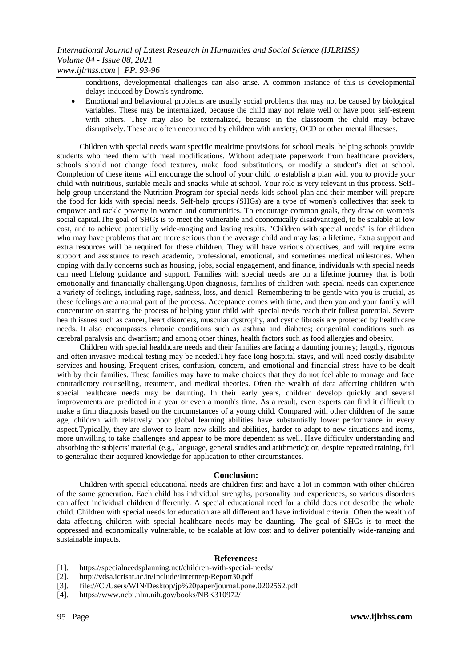conditions, developmental challenges can also arise. A common instance of this is developmental delays induced by Down's syndrome.

 Emotional and behavioural problems are usually social problems that may not be caused by biological variables. These may be internalized, because the child may not relate well or have poor self-esteem with others. They may also be externalized, because in the classroom the child may behave disruptively. These are often encountered by children with anxiety, OCD or other mental illnesses.

Children with special needs want specific mealtime provisions for school meals, helping schools provide students who need them with meal modifications. Without adequate paperwork from healthcare providers, schools should not change food textures, make food substitutions, or modify a student's diet at school. Completion of these items will encourage the school of your child to establish a plan with you to provide your child with nutritious, suitable meals and snacks while at school. Your role is very relevant in this process. Selfhelp group understand the Nutrition Program for special needs kids school plan and their member will prepare the food for kids with special needs. Self-help groups (SHGs) are a type of women's collectives that seek to empower and tackle poverty in women and communities. To encourage common goals, they draw on women's social capital.The goal of SHGs is to meet the vulnerable and economically disadvantaged, to be scalable at low cost, and to achieve potentially wide-ranging and lasting results. "Children with special needs" is for children who may have problems that are more serious than the average child and may last a lifetime. Extra support and extra resources will be required for these children. They will have various objectives, and will require extra support and assistance to reach academic, professional, emotional, and sometimes medical milestones. When coping with daily concerns such as housing, jobs, social engagement, and finance, individuals with special needs can need lifelong guidance and support. Families with special needs are on a lifetime journey that is both emotionally and financially challenging.Upon diagnosis, families of children with special needs can experience a variety of feelings, including rage, sadness, loss, and denial. Remembering to be gentle with you is crucial, as these feelings are a natural part of the process. Acceptance comes with time, and then you and your family will concentrate on starting the process of helping your child with special needs reach their fullest potential. Severe health issues such as cancer, heart disorders, muscular dystrophy, and cystic fibrosis are protected by health care needs. It also encompasses chronic conditions such as asthma and diabetes; congenital conditions such as cerebral paralysis and dwarfism; and among other things, health factors such as food allergies and obesity.

Children with special healthcare needs and their families are facing a daunting journey; lengthy, rigorous and often invasive medical testing may be needed.They face long hospital stays, and will need costly disability services and housing. Frequent crises, confusion, concern, and emotional and financial stress have to be dealt with by their families. These families may have to make choices that they do not feel able to manage and face contradictory counselling, treatment, and medical theories. Often the wealth of data affecting children with special healthcare needs may be daunting. In their early years, children develop quickly and several improvements are predicted in a year or even a month's time. As a result, even experts can find it difficult to make a firm diagnosis based on the circumstances of a young child. Compared with other children of the same age, children with relatively poor global learning abilities have substantially lower performance in every aspect.Typically, they are slower to learn new skills and abilities, harder to adapt to new situations and items, more unwilling to take challenges and appear to be more dependent as well. Have difficulty understanding and absorbing the subjects' material (e.g., language, general studies and arithmetic); or, despite repeated training, fail to generalize their acquired knowledge for application to other circumstances.

#### **Conclusion:**

Children with special educational needs are children first and have a lot in common with other children of the same generation. Each child has individual strengths, personality and experiences, so various disorders can affect individual children differently. A special educational need for a child does not describe the whole child. Children with special needs for education are all different and have individual criteria. Often the wealth of data affecting children with special healthcare needs may be daunting. The goal of SHGs is to meet the oppressed and economically vulnerable, to be scalable at low cost and to deliver potentially wide-ranging and sustainable impacts.

#### **References:**

- [1]. https://specialneedsplanning.net/children-with-special-needs/
- [2]. http://vdsa.icrisat.ac.in/Include/Internrep/Report30.pdf
- [3]. file:///C:/Users/WIN/Desktop/jp%20paper/journal.pone.0202562.pdf
- [4]. https://www.ncbi.nlm.nih.gov/books/NBK310972/